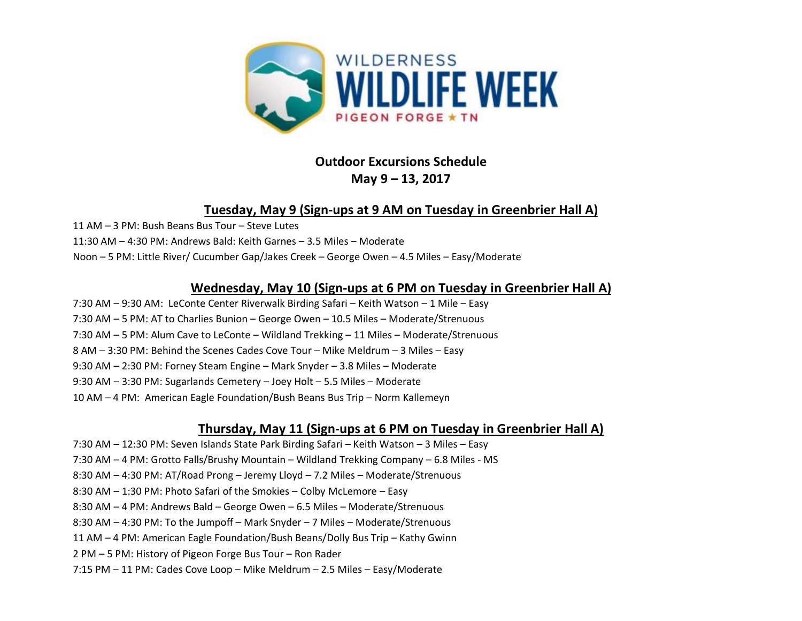

# **Outdoor Excursions Schedule May 9 – 13, 2017**

### **Tuesday, May 9 (Sign-ups at 9 AM on Tuesday in Greenbrier Hall A)**

11 AM – 3 PM: Bush Beans Bus Tour – Steve Lutes

11:30 AM – 4:30 PM: Andrews Bald: Keith Garnes – 3.5 Miles – Moderate

Noon – 5 PM: Little River/ Cucumber Gap/Jakes Creek – George Owen – 4.5 Miles – Easy/Moderate

### **Wednesday, May 10 (Sign-ups at 6 PM on Tuesday in Greenbrier Hall A)**

7:30 AM – 9:30 AM: LeConte Center Riverwalk Birding Safari – Keith Watson – 1 Mile – Easy 7:30 AM – 5 PM: AT to Charlies Bunion – George Owen – 10.5 Miles – Moderate/Strenuous 7:30 AM – 5 PM: Alum Cave to LeConte – Wildland Trekking – 11 Miles – Moderate/Strenuous 8 AM – 3:30 PM: Behind the Scenes Cades Cove Tour – Mike Meldrum – 3 Miles – Easy 9:30 AM – 2:30 PM: Forney Steam Engine – Mark Snyder – 3.8 Miles – Moderate 9:30 AM – 3:30 PM: Sugarlands Cemetery – Joey Holt – 5.5 Miles – Moderate 10 AM – 4 PM: American Eagle Foundation/Bush Beans Bus Trip – Norm Kallemeyn

## **Thursday, May 11 (Sign-ups at 6 PM on Tuesday in Greenbrier Hall A)**

7:30 AM – 12:30 PM: Seven Islands State Park Birding Safari – Keith Watson – 3 Miles – Easy 7:30 AM – 4 PM: Grotto Falls/Brushy Mountain – Wildland Trekking Company – 6.8 Miles - MS 8:30 AM – 4:30 PM: AT/Road Prong – Jeremy Lloyd – 7.2 Miles – Moderate/Strenuous 8:30 AM – 1:30 PM: Photo Safari of the Smokies – Colby McLemore – Easy 8:30 AM – 4 PM: Andrews Bald – George Owen – 6.5 Miles – Moderate/Strenuous 8:30 AM – 4:30 PM: To the Jumpoff – Mark Snyder – 7 Miles – Moderate/Strenuous 11 AM – 4 PM: American Eagle Foundation/Bush Beans/Dolly Bus Trip – Kathy Gwinn 2 PM – 5 PM: History of Pigeon Forge Bus Tour – Ron Rader 7:15 PM – 11 PM: Cades Cove Loop – Mike Meldrum – 2.5 Miles – Easy/Moderate